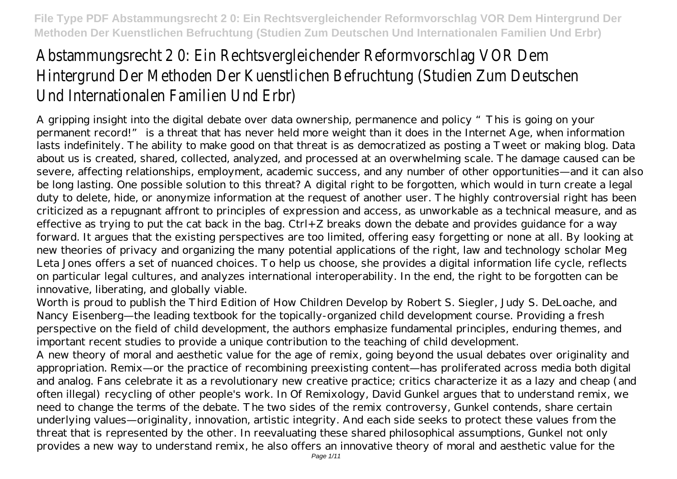# Abstammungsrecht 2 O: Ein Rechtsvergleichender Reformvorsch Hintergrund Der Methoden Der Kuenstlichen Befruchtung (Studi Und Internationalen Familien Und Erbr)

A gripping insight into the digital debate over data ownership, permanence and policy "This is going on your permanent record!" is a threat that has never held more weight than it does in the Internet Age, when information lasts indefinitely. The ability to make good on that threat is as democratized as posting a Tweet or making blog. Data about us is created, shared, collected, analyzed, and processed at an overwhelming scale. The damage caused can be severe, affecting relationships, employment, academic success, and any number of other opportunities—and it can also be long lasting. One possible solution to this threat? A digital right to be forgotten, which would in turn create a legal duty to delete, hide, or anonymize information at the request of another user. The highly controversial right has been criticized as a repugnant affront to principles of expression and access, as unworkable as a technical measure, and as effective as trying to put the cat back in the bag. Ctrl+Z breaks down the debate and provides guidance for a way forward. It argues that the existing perspectives are too limited, offering easy forgetting or none at all. By looking at new theories of privacy and organizing the many potential applications of the right, law and technology scholar Meg Leta Jones offers a set of nuanced choices. To help us choose, she provides a digital information life cycle, reflects on particular legal cultures, and analyzes international interoperability. In the end, the right to be forgotten can be innovative, liberating, and globally viable.

Worth is proud to publish the Third Edition of How Children Develop by Robert S. Siegler, Judy S. DeLoache, and Nancy Eisenberg—the leading textbook for the topically-organized child development course. Providing a fresh perspective on the field of child development, the authors emphasize fundamental principles, enduring themes, and important recent studies to provide a unique contribution to the teaching of child development.

A new theory of moral and aesthetic value for the age of remix, going beyond the usual debates over originality and appropriation. Remix—or the practice of recombining preexisting content—has proliferated across media both digital and analog. Fans celebrate it as a revolutionary new creative practice; critics characterize it as a lazy and cheap (and often illegal) recycling of other people's work. In Of Remixology, David Gunkel argues that to understand remix, we need to change the terms of the debate. The two sides of the remix controversy, Gunkel contends, share certain underlying values—originality, innovation, artistic integrity. And each side seeks to protect these values from the threat that is represented by the other. In reevaluating these shared philosophical assumptions, Gunkel not only provides a new way to understand remix, he also offers an innovative theory of moral and aesthetic value for the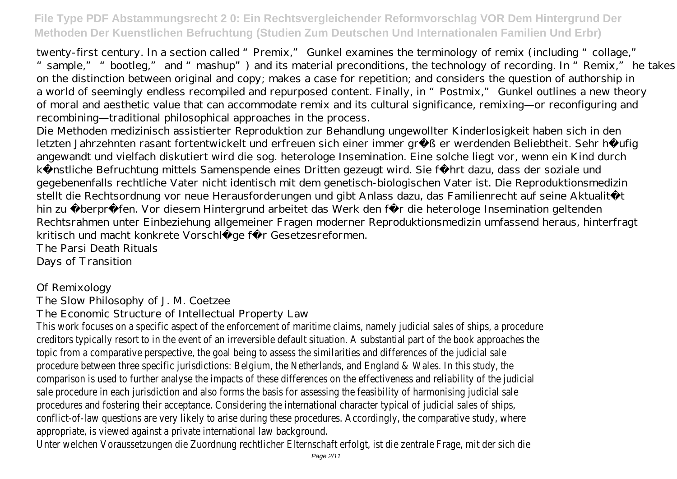twenty-first century. In a section called "Premix," Gunkel examines the terminology of remix (including "collage," " sample," "bootleg," and "mashup") and its material preconditions, the technology of recording. In "Remix," he takes on the distinction between original and copy; makes a case for repetition; and considers the question of authorship in a world of seemingly endless recompiled and repurposed content. Finally, in "Postmix," Gunkel outlines a new theory of moral and aesthetic value that can accommodate remix and its cultural significance, remixing—or reconfiguring and recombining—traditional philosophical approaches in the process.

Die Methoden medizinisch assistierter Reproduktion zur Behandlung ungewollter Kinderlosigkeit haben sich in den letzten Jahrzehnten rasant fortentwickelt und erfreuen sich einer immer größer werdenden Beliebtheit. Sehr häufig angewandt und vielfach diskutiert wird die sog. heterologe Insemination. Eine solche liegt vor, wenn ein Kind durch künstliche Befruchtung mittels Samenspende eines Dritten gezeugt wird. Sie führt dazu, dass der soziale und gegebenenfalls rechtliche Vater nicht identisch mit dem genetisch-biologischen Vater ist. Die Reproduktionsmedizin stellt die Rechtsordnung vor neue Herausforderungen und gibt Anlass dazu, das Familienrecht auf seine Aktualität hin zu überprüfen. Vor diesem Hintergrund arbeitet das Werk den für die heterologe Insemination geltenden Rechtsrahmen unter Einbeziehung allgemeiner Fragen moderner Reproduktionsmedizin umfassend heraus, hinterfragt kritisch und macht konkrete Vorschläge für Gesetzesreformen.

The Parsi Death Rituals Days of Transition

#### Of Remixology

The Slow Philosophy of J. M. Coetzee

The Economic Structure of Intellectual Property Law

This work focuses on a specific aspect of the enforcement of maritime claims, namely judicial sale creditors typically resort to in the event of an irreversible default situation. A substantial part of topic from a comparative perspective, the goal being to assess the similarities and differences of procedure between three specific jurisdictions: Belgium, the Netherlands, and England & Wales. In comparison is used to further analyse the impacts of these differences on the effectiveness and sale procedure in each jurisdiction and also forms the basis for assessing the feasibility of harmor procedures and fostering their acceptance. Considering the international character typical of judic conflict-of-law questions are very likely to arise during these procedures. Accordingly, the compar appropriate, is viewed against a private international law background.

Unter welchen Voraussetzungen die Zuordnung rechtlicher Elternschaft erfolgt, ist die zentrale Frage, mit die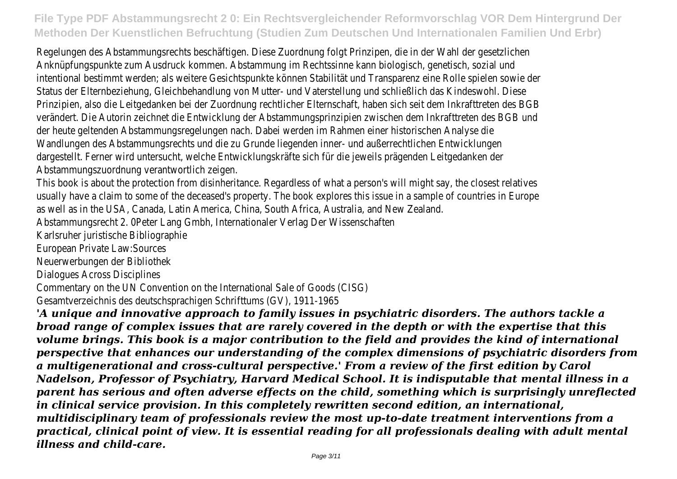Regelungen des Abstammungsrechts beschäftigen. Diese Zuordnung folgt Prinzipen, die in der Wah Anknüpfungspunkte zum Ausdruck kommen. Abstammung im Rechtssinne kann biologisch, genetisch intentional bestimmt werden; als weitere Gesichtspunkte können Stabilität und Transparenz eine R Status der Elternbeziehung, Gleichbehandlung von Mutter- und Vaterstellung und schließlich das Ki Prinzipien, also die Leitgedanken bei der Zuordnung rechtlicher Elternschaft, haben sich seit dem In verändert. Die Autorin zeichnet die Entwicklung der Abstammungsprinzipien zwischen dem Inkraftt der heute geltenden Abstammungsregelungen nach. Dabei werden im Rahmen einer historischen Ar Wandlungen des Abstammungsrechts und die zu Grunde liegenden inner- und außerrechtlichen Entw dargestellt. Ferner wird untersucht, welche Entwicklungskräfte sich für die jeweils prägenden Leit Abstammungszuordnung verantwortlich zeigen.

This book is about the protection from disinheritance. Regardless of what a person's will might say usually have a claim to some of the deceased's property. The book explores this issue in a sample as well as in the USA, Canada, Latin America, China, South Africa, Australia, and New Zealand. Abstammungsrecht 2. 0Peter Lang Gmbh, Internationaler Verlag Der Wissenschaften Karlsruher juristische Bibliographie

European Private Law:Sources

Neuerwerbungen der Bibliothek

Dialogues Across Disciplines

Commentary on the UN Convention on the International Sale of Goods (CISG) Gesamtverzeichnis des deutschsprachigen Schrifttums (GV), 1911-1965

*'A unique and innovative approach to family issues in psychiatric disorders. The authors tackle a broad range of complex issues that are rarely covered in the depth or with the expertise that this volume brings. This book is a major contribution to the field and provides the kind of international perspective that enhances our understanding of the complex dimensions of psychiatric disorders from a multigenerational and cross-cultural perspective.' From a review of the first edition by Carol Nadelson, Professor of Psychiatry, Harvard Medical School. It is indisputable that mental illness in a parent has serious and often adverse effects on the child, something which is surprisingly unreflected in clinical service provision. In this completely rewritten second edition, an international, multidisciplinary team of professionals review the most up-to-date treatment interventions from a practical, clinical point of view. It is essential reading for all professionals dealing with adult mental illness and child-care.*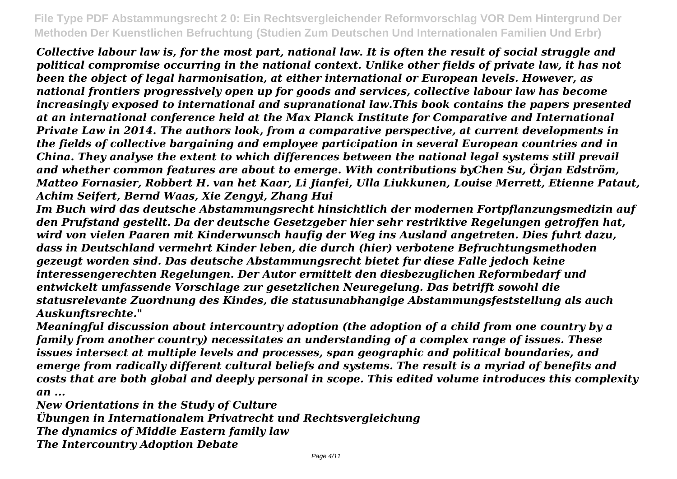*Collective labour law is, for the most part, national law. It is often the result of social struggle and political compromise occurring in the national context. Unlike other fields of private law, it has not been the object of legal harmonisation, at either international or European levels. However, as national frontiers progressively open up for goods and services, collective labour law has become increasingly exposed to international and supranational law.This book contains the papers presented at an international conference held at the Max Planck Institute for Comparative and International Private Law in 2014. The authors look, from a comparative perspective, at current developments in the fields of collective bargaining and employee participation in several European countries and in China. They analyse the extent to which differences between the national legal systems still prevail and whether common features are about to emerge. With contributions byChen Su, Örjan Edström, Matteo Fornasier, Robbert H. van het Kaar, Li Jianfei, Ulla Liukkunen, Louise Merrett, Etienne Pataut, Achim Seifert, Bernd Waas, Xie Zengyi, Zhang Hui*

*Im Buch wird das deutsche Abstammungsrecht hinsichtlich der modernen Fortpflanzungsmedizin auf den Prufstand gestellt. Da der deutsche Gesetzgeber hier sehr restriktive Regelungen getroffen hat, wird von vielen Paaren mit Kinderwunsch haufig der Weg ins Ausland angetreten. Dies fuhrt dazu, dass in Deutschland vermehrt Kinder leben, die durch (hier) verbotene Befruchtungsmethoden gezeugt worden sind. Das deutsche Abstammungsrecht bietet fur diese Falle jedoch keine interessengerechten Regelungen. Der Autor ermittelt den diesbezuglichen Reformbedarf und entwickelt umfassende Vorschlage zur gesetzlichen Neuregelung. Das betrifft sowohl die statusrelevante Zuordnung des Kindes, die statusunabhangige Abstammungsfeststellung als auch Auskunftsrechte."*

*Meaningful discussion about intercountry adoption (the adoption of a child from one country by a family from another country) necessitates an understanding of a complex range of issues. These issues intersect at multiple levels and processes, span geographic and political boundaries, and emerge from radically different cultural beliefs and systems. The result is a myriad of benefits and costs that are both global and deeply personal in scope. This edited volume introduces this complexity an ...*

*New Orientations in the Study of Culture Übungen in Internationalem Privatrecht und Rechtsvergleichung The dynamics of Middle Eastern family law The Intercountry Adoption Debate*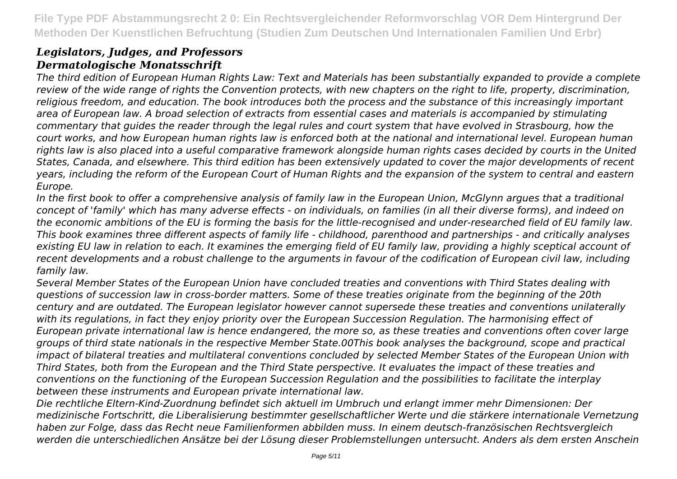### *Legislators, Judges, and Professors Dermatologische Monatsschrift*

*The third edition of European Human Rights Law: Text and Materials has been substantially expanded to provide a complete review of the wide range of rights the Convention protects, with new chapters on the right to life, property, discrimination, religious freedom, and education. The book introduces both the process and the substance of this increasingly important area of European law. A broad selection of extracts from essential cases and materials is accompanied by stimulating commentary that guides the reader through the legal rules and court system that have evolved in Strasbourg, how the court works, and how European human rights law is enforced both at the national and international level. European human rights law is also placed into a useful comparative framework alongside human rights cases decided by courts in the United States, Canada, and elsewhere. This third edition has been extensively updated to cover the major developments of recent years, including the reform of the European Court of Human Rights and the expansion of the system to central and eastern Europe.*

*In the first book to offer a comprehensive analysis of family law in the European Union, McGlynn argues that a traditional concept of 'family' which has many adverse effects - on individuals, on families (in all their diverse forms), and indeed on the economic ambitions of the EU is forming the basis for the little-recognised and under-researched field of EU family law. This book examines three different aspects of family life - childhood, parenthood and partnerships - and critically analyses existing EU law in relation to each. It examines the emerging field of EU family law, providing a highly sceptical account of recent developments and a robust challenge to the arguments in favour of the codification of European civil law, including family law.*

*Several Member States of the European Union have concluded treaties and conventions with Third States dealing with questions of succession law in cross-border matters. Some of these treaties originate from the beginning of the 20th century and are outdated. The European legislator however cannot supersede these treaties and conventions unilaterally with its regulations, in fact they enjoy priority over the European Succession Regulation. The harmonising effect of European private international law is hence endangered, the more so, as these treaties and conventions often cover large groups of third state nationals in the respective Member State.00This book analyses the background, scope and practical impact of bilateral treaties and multilateral conventions concluded by selected Member States of the European Union with Third States, both from the European and the Third State perspective. It evaluates the impact of these treaties and conventions on the functioning of the European Succession Regulation and the possibilities to facilitate the interplay between these instruments and European private international law.*

*Die rechtliche Eltern-Kind-Zuordnung befindet sich aktuell im Umbruch und erlangt immer mehr Dimensionen: Der medizinische Fortschritt, die Liberalisierung bestimmter gesellschaftlicher Werte und die stärkere internationale Vernetzung haben zur Folge, dass das Recht neue Familienformen abbilden muss. In einem deutsch-französischen Rechtsvergleich werden die unterschiedlichen Ansätze bei der Lösung dieser Problemstellungen untersucht. Anders als dem ersten Anschein*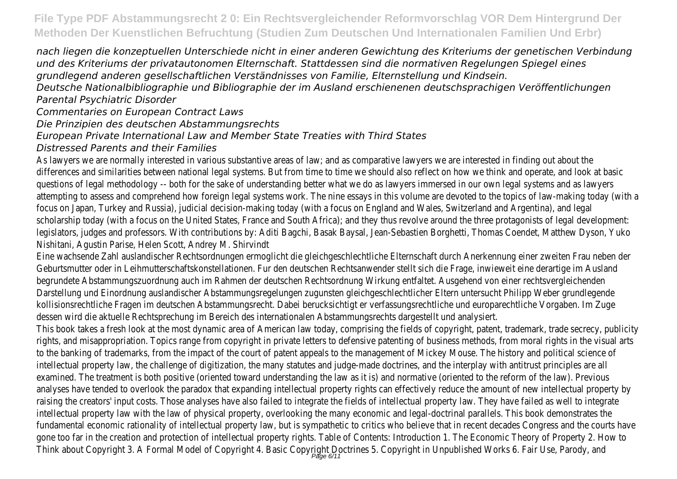*nach liegen die konzeptuellen Unterschiede nicht in einer anderen Gewichtung des Kriteriums der genetischen Verbindung und des Kriteriums der privatautonomen Elternschaft. Stattdessen sind die normativen Regelungen Spiegel eines grundlegend anderen gesellschaftlichen Verständnisses von Familie, Elternstellung und Kindsein.*

*Deutsche Nationalbibliographie und Bibliographie der im Ausland erschienenen deutschsprachigen Veröffentlichungen Parental Psychiatric Disorder*

*Commentaries on European Contract Laws*

*Die Prinzipien des deutschen Abstammungsrechts*

*European Private International Law and Member State Treaties with Third States*

*Distressed Parents and their Families*

As lawyers we are normally interested in various substantive areas of law; and as comparative lawyers we differences and similarities between national legal systems. But from time to time we should also reflect questions of legal methodology -- both for the sake of understanding better what we do as lawyers imme attempting to assess and comprehend how foreign legal systems work. The nine essays in this volume are focus on Japan, Turkey and Russia), judicial decision-making today (with a focus on England and Wales, Sw scholarship today (with a focus on the United States, France and South Africa); and they thus revolve aro legislators, judges and professors. With contributions by: Aditi Bagchi, Basak Baysal, Jean-Sebastien Borghe Nishitani, Agustin Parise, Helen Scott, Andrey M. Shirvindt

Eine wachsende Zahl auslandischer Rechtsordnungen ermoglicht die gleichgeschlechtliche Elternschaft durch Geburtsmutter oder in Leihmutterschaftskonstellationen. Fur den deutschen Rechtsanwender stellt sich die begrundete Abstammungszuordnung auch im Rahmen der deutschen Rechtsordnung Wirkung entfaltet. Aus Darstellung und Einordnung auslandischer Abstammungsregelungen zugunsten gleichgeschlechtlicher Eltern kollisionsrechtliche Fragen im deutschen Abstammungsrecht. Dabei berucksichtigt er verfassungsrechtliche dessen wird die aktuelle Rechtsprechung im Bereich des internationalen Abstammungsrechts dargestellt un This book takes a fresh look at the most dynamic area of American law today, comprising the fields of copyright, rights, and misappropriation. Topics range from copyright in private letters to defensive patenting of busine to the banking of trademarks, from the impact of the court of patent appeals to the management of Micle intellectual property law, the challenge of digitization, the many statutes and judge-made doctrines, and the examined. The treatment is both positive (oriented toward understanding the law as it is) and normative ( analyses have tended to overlook the paradox that expanding intellectual property rights can effectively re raising the creators' input costs. Those analyses have also failed to integrate the fields of intellectual prop intellectual property law with the law of physical property, overlooking the many economic and legal-docti fundamental economic rationality of intellectual property law, but is sympathetic to critics who believe th gone too far in the creation and protection of intellectual property rights. Table of Contents: Introduction Think about Copyright 3. A Formal Model of Copyright 4. Basic Copyright Doctrines 5. Copyright in Unpublities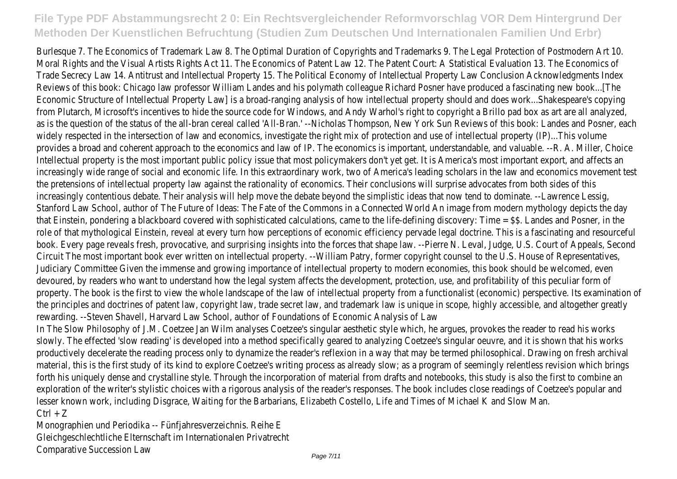Burlesque 7. The Economics of Trademark Law 8. The Optimal Duration of Copyrights and Trademarks 9. The Moral Rights and the Visual Artists Rights Act 11. The Economics of Patent Law 12. The Patent Court: A Statistical E Trade Secrecy Law 14. Antitrust and Intellectual Property 15. The Political Economy of Intellectual Propert Reviews of this book: Chicago law professor William Landes and his polymath colleague Richard Posner have Economic Structure of Intellectual Property Law] is a broad-ranging analysis of how intellectual property showle from Plutarch, Microsoft's incentives to hide the source code for Windows, and Andy Warhol's right to co as is the question of the status of the all-bran cereal called 'All-Bran.' --Nicholas Thompson, New York Sun widely respected in the intersection of law and economics, investigate the right mix of protection and use provides a broad and coherent approach to the economics and law of IP. The economics is important, under Intellectual property is the most important public policy issue that most policymakers don't yet get. It is  $\mu$ increasingly wide range of social and economic life. In this extraordinary work, two of America's leading sc the pretensions of intellectual property law against the rationality of economics. Their conclusions will sure increasingly contentious debate. Their analysis will help move the debate beyond the simplistic ideas that re Stanford Law School, author of The Future of Ideas: The Fate of the Commons in a Connected World An ir that Einstein, pondering a blackboard covered with sophisticated calculations, came to the life-defining dis role of that mythological Einstein, reveal at every turn how perceptions of economic efficiency pervade leg book. Every page reveals fresh, provocative, and surprising insights into the forces that shape law. --Pierre Circuit The most important book ever written on intellectual property. --William Patry, former copyright consel Judiciary Committee Given the immense and growing importance of intellectual property to modern econor devoured, by readers who want to understand how the legal system affects the development, protection, property. The book is the first to view the whole landscape of the law of intellectual property from a fun the principles and doctrines of patent law, copyright law, trade secret law, and trademark law is unique in rewarding. --Steven Shavell, Harvard Law School, author of Foundations of Economic Analysis of Law In The Slow Philosophy of J.M. Coetzee Jan Wilm analyses Coetzee's singular aesthetic style which, he argues, slowly. The effected 'slow reading' is developed into a method specifically geared to analyzing Coetzee's singular o productively decelerate the reading process only to dynamize the reader's reflexion in a way that may be t material, this is the first study of its kind to explore Coetzee's writing process as already slow; as a progi forth his uniquely dense and crystalline style. Through the incorporation of material from drafts and noteb exploration of the writer's stylistic choices with a rigorous analysis of the reader's responses. The book in lesser known work, including Disgrace, Waiting for the Barbarians, Elizabeth Costello, Life and Times of Mid  $Ctrl + Z$ 

Monographien und Periodika -- Fünfjahresverzeichnis. Reihe E Gleichgeschlechtliche Elternschaft im Internationalen Privatrecht Comparative Succession Law Page 7/11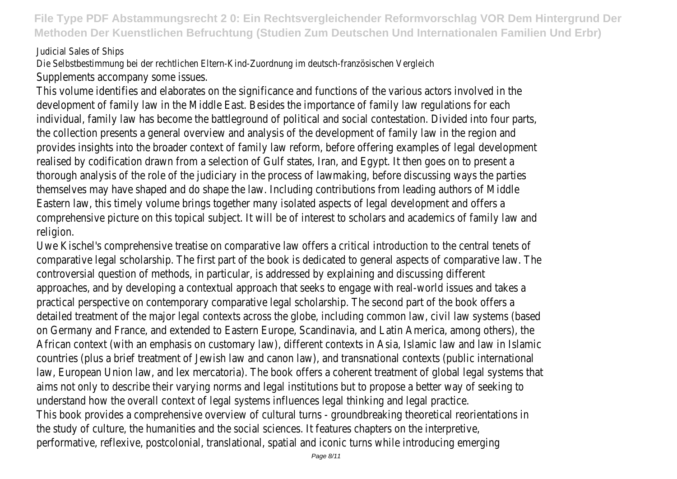#### Judicial Sales of Ships

Die Selbstbestimmung bei der rechtlichen Eltern-Kind-Zuordnung im deutsch-französischen Vergleich Supplements accompany some issues.

This volume identifies and elaborates on the significance and functions of the various actor development of family law in the Middle East. Besides the importance of family law regulat individual, family law has become the battleground of political and social contestation. Divid the collection presents a general overview and analysis of the development of family law in provides insights into the broader context of family law reform, before offering examples on realised by codification drawn from a selection of Gulf states, Iran, and Egypt. It then goes thorough analysis of the role of the judiciary in the process of lawmaking, before discussing themselves may have shaped and do shape the law. Including contributions from leading au Eastern law, this timely volume brings together many isolated aspects of legal development comprehensive picture on this topical subject. It will be of interest to scholars and academ religion.

Uwe Kischel's comprehensive treatise on comparative law offers a critical introduction to to comparative legal scholarship. The first part of the book is dedicated to general aspects of controversial question of methods, in particular, is addressed by explaining and discussing different approaches, and by developing a contextual approach that seeks to engage with real-world practical perspective on contemporary comparative legal scholarship. The second part of the detailed treatment of the major legal contexts across the globe, including common law, civil on Germany and France, and extended to Eastern Europe, Scandinavia, and Latin America, an African context (with an emphasis on customary law), different contexts in Asia, Islamic law countries (plus a brief treatment of Jewish law and canon law), and transnational contexts law, European Union law, and lex mercatoria). The book offers a coherent treatment of global aims not only to describe their varying norms and legal institutions but to propose a bette understand how the overall context of legal systems influences legal thinking and legal practice. This book provides a comprehensive overview of cultural turns - groundbreaking theoretical the study of culture, the humanities and the social sciences. It features chapters on the in performative, reflexive, postcolonial, translational, spatial and iconic turns while introducing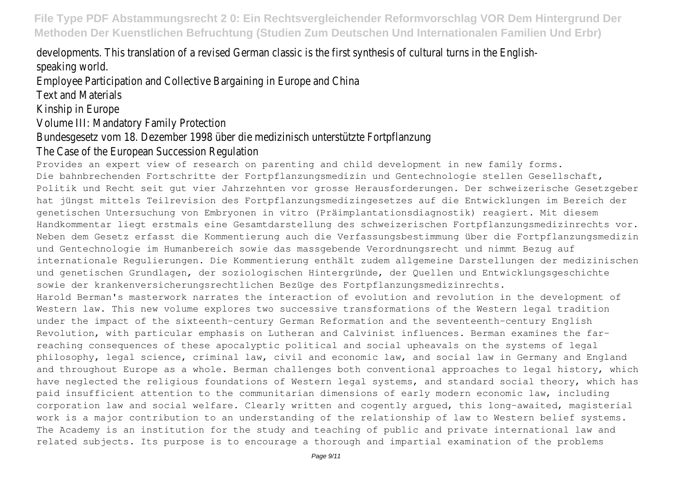developments. This translation of a revised German classic is the first synthesis of cultural speaking world.

Employee Participation and Collective Bargaining in Europe and China

Text and Materials

Kinship in Europe

Volume III: Mandatory Family Protection

Bundesgesetz vom 18. Dezember 1998 über die medizinisch unterstützte Fortpflanzung The Case of the European Succession Regulation

Provides an expert view of research on parenting and child development in new family forms.

Die bahnbrechenden Fortschritte der Fortpflanzungsmedizin und Gentechnologie stellen Gesellschaft, Politik und Recht seit gut vier Jahrzehnten vor grosse Herausforderungen. Der schweizerische Gesetzgeber hat jüngst mittels Teilrevision des Fortpflanzungsmedizingesetzes auf die Entwicklungen im Bereich der genetischen Untersuchung von Embryonen in vitro (Präimplantationsdiagnostik) reagiert. Mit diesem Handkommentar liegt erstmals eine Gesamtdarstellung des schweizerischen Fortpflanzungsmedizinrechts vor. Neben dem Gesetz erfasst die Kommentierung auch die Verfassungsbestimmung über die Fortpflanzungsmedizin und Gentechnologie im Humanbereich sowie das massgebende Verordnungsrecht und nimmt Bezug auf internationale Regulierungen. Die Kommentierung enthält zudem allgemeine Darstellungen der medizinischen und genetischen Grundlagen, der soziologischen Hintergründe, der Quellen und Entwicklungsgeschichte sowie der krankenversicherungsrechtlichen Bezüge des Fortpflanzungsmedizinrechts.

Harold Berman's masterwork narrates the interaction of evolution and revolution in the development of Western law. This new volume explores two successive transformations of the Western legal tradition under the impact of the sixteenth-century German Reformation and the seventeenth-century English Revolution, with particular emphasis on Lutheran and Calvinist influences. Berman examines the farreaching consequences of these apocalyptic political and social upheavals on the systems of legal philosophy, legal science, criminal law, civil and economic law, and social law in Germany and England and throughout Europe as a whole. Berman challenges both conventional approaches to legal history, which have neglected the religious foundations of Western legal systems, and standard social theory, which has paid insufficient attention to the communitarian dimensions of early modern economic law, including corporation law and social welfare. Clearly written and cogently argued, this long-awaited, magisterial work is a major contribution to an understanding of the relationship of law to Western belief systems. The Academy is an institution for the study and teaching of public and private international law and related subjects. Its purpose is to encourage a thorough and impartial examination of the problems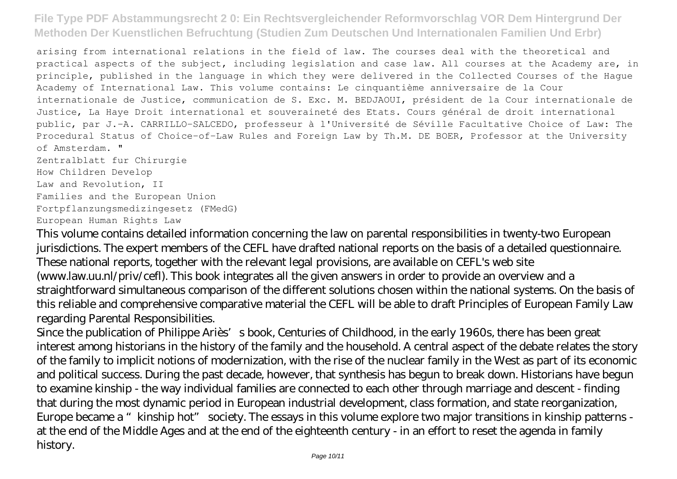arising from international relations in the field of law. The courses deal with the theoretical and practical aspects of the subject, including legislation and case law. All courses at the Academy are, in principle, published in the language in which they were delivered in the Collected Courses of the Hague Academy of International Law. This volume contains: Le cinquantième anniversaire de la Cour internationale de Justice, communication de S. Exc. M. BEDJAOUI, président de la Cour internationale de Justice, La Haye Droit international et souveraineté des Etats. Cours général de droit international public, par J.-A. CARRILLO-SALCEDO, professeur à l'Université de Séville Facultative Choice of Law: The Procedural Status of Choice-of-Law Rules and Foreign Law by Th.M. DE BOER, Professor at the University of Amsterdam. "

Zentralblatt fur Chirurgie How Children Develop Law and Revolution, II Families and the European Union Fortpflanzungsmedizingesetz (FMedG) European Human Rights Law

This volume contains detailed information concerning the law on parental responsibilities in twenty-two European jurisdictions. The expert members of the CEFL have drafted national reports on the basis of a detailed questionnaire. These national reports, together with the relevant legal provisions, are available on CEFL's web site (www.law.uu.nl/priv/cefl). This book integrates all the given answers in order to provide an overview and a straightforward simultaneous comparison of the different solutions chosen within the national systems. On the basis of this reliable and comprehensive comparative material the CEFL will be able to draft Principles of European Family Law regarding Parental Responsibilities.

Since the publication of Philippe Ariès's book, Centuries of Childhood, in the early 1960s, there has been great interest among historians in the history of the family and the household. A central aspect of the debate relates the story of the family to implicit notions of modernization, with the rise of the nuclear family in the West as part of its economic and political success. During the past decade, however, that synthesis has begun to break down. Historians have begun to examine kinship - the way individual families are connected to each other through marriage and descent - finding that during the most dynamic period in European industrial development, class formation, and state reorganization, Europe became a "kinship hot" society. The essays in this volume explore two major transitions in kinship patterns at the end of the Middle Ages and at the end of the eighteenth century - in an effort to reset the agenda in family history.